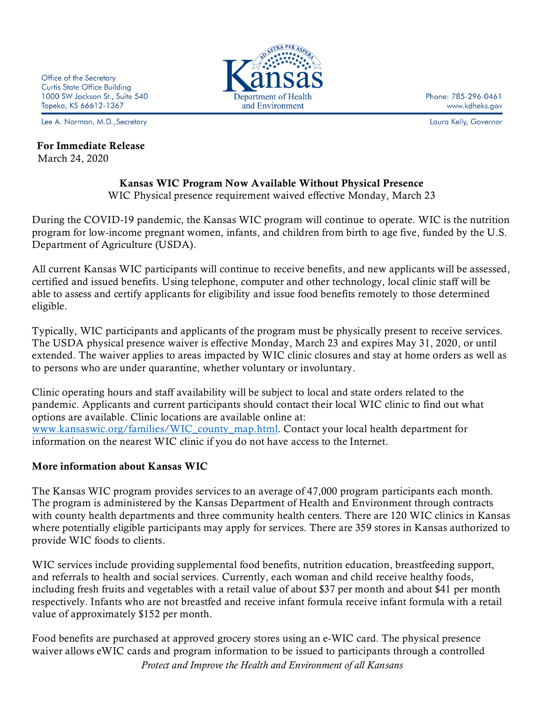Lee A. Norman, M.D., Secretary

## For Immediate Release March 24, 2020

Department of Health and Environment

Phone: 785-296-0461 www.kdheks.gov

Laura Kelly, Governor

## Kansas WIC Program Now Available Without Physical Presence

WIC Physical presence requirement waived effective Monday, March 23

During the COVID-19 pandemic, the Kansas WIC program will continue to operate. WIC is the nutrition program for low-income pregnant women, infants, and children from birth to age five, funded by the U.S. Department of Agriculture (USDA).

All current Kansas WIC participants will continue to receive benefits, and new applicants will be assessed, certified and issued benefits. Using telephone, computer and other technology, local clinic staff will be able to assess and certify applicants for eligibility and issue food benefits remotely to those determined eligible.

Typically, WIC participants and applicants of the program must be physically present to receive services. The USDA physical presence waiver is effective Monday, March 23 and expires May 31, 2020, or until extended. The waiver applies to areas impacted by WIC clinic closures and stay at home orders as well as to persons who are under quarantine, whether voluntary or involuntary.

Clinic operating hours and staff availability will be subject to local and state orders related to the pandemic. Applicants and current participants should contact their local WIC clinic to find out what options are available. Clinic locations are available online at: [www.kansaswic.org/families/WIC\\_county\\_map.html.](http://www.kansaswic.org/families/WIC_county_map.html) Contact your local health department for information on the nearest WIC clinic if you do not have access to the Internet.

## More information about Kansas WIC

The Kansas WIC program provides services to an average of 47,000 program participants each month. The program is administered by the Kansas Department of Health and Environment through contracts with county health departments and three community health centers. There are 120 WIC clinics in Kansas where potentially eligible participants may apply for services. There are 359 stores in Kansas authorized to provide WIC foods to clients.

WIC services include providing supplemental food benefits, nutrition education, breastfeeding support, and referrals to health and social services. Currently, each woman and child receive healthy foods, including fresh fruits and vegetables with a retail value of about \$37 per month and about \$41 per month respectively. Infants who are not breastfed and receive infant formula receive infant formula with a retail value of approximately \$152 per month.

Food benefits are purchased at approved grocery stores using an e-WIC card. The physical presence waiver allows eWIC cards and program information to be issued to participants through a controlled

*Protect and Improve the Health and Environment of all Kansans*